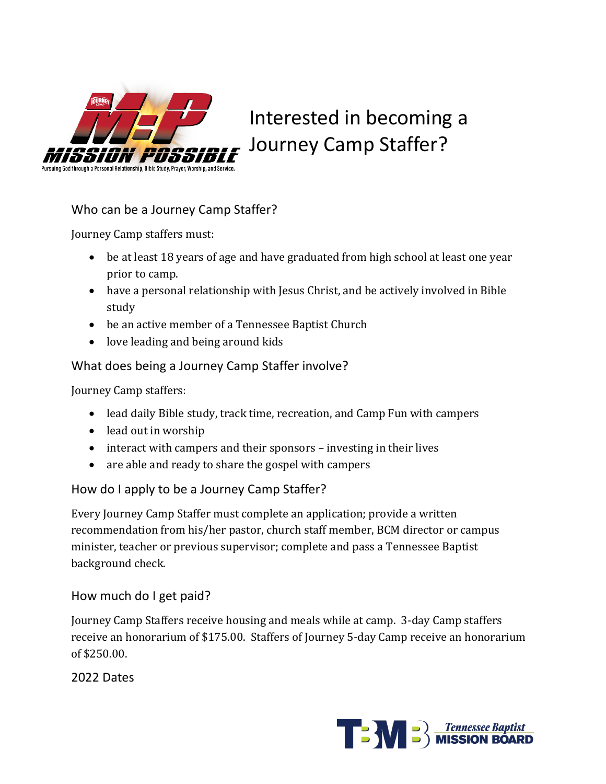

# Interested in becoming a Journey Camp Staffer?

# Who can be a Journey Camp Staffer?

Journey Camp staffers must:

- be at least 18 years of age and have graduated from high school at least one year prior to camp.
- have a personal relationship with Jesus Christ, and be actively involved in Bible study
- be an active member of a Tennessee Baptist Church
- love leading and being around kids

# What does being a Journey Camp Staffer involve?

Journey Camp staffers:

- lead daily Bible study, track time, recreation, and Camp Fun with campers
- lead out in worship
- $\bullet$  interact with campers and their sponsors investing in their lives
- are able and ready to share the gospel with campers

# How do I apply to be a Journey Camp Staffer?

Every Journey Camp Staffer must complete an application; provide a written recommendation from his/her pastor, church staff member, BCM director or campus minister, teacher or previous supervisor; complete and pass a Tennessee Baptist background check.

# How much do I get paid?

Journey Camp Staffers receive housing and meals while at camp. 3-day Camp staffers receive an honorarium of \$175.00. Staffers of Journey 5-day Camp receive an honorarium of \$250.00.

2022 Dates